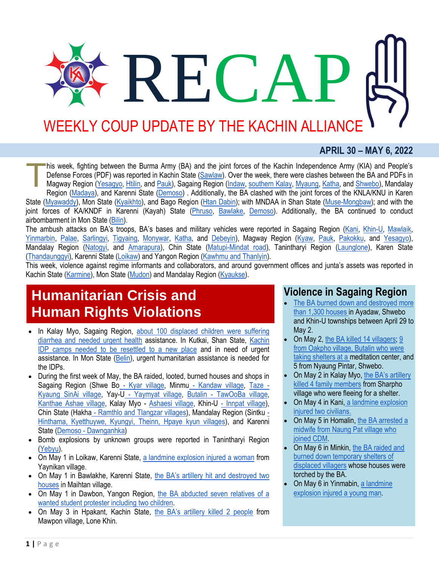# RECZ WEEKLY COUP UPDATE BY THE KACHIN ALLIANCE

#### **APRIL 30 – MAY 6, 2022**

his week, fighting between the Burma Army (BA) and the joint forces of the Kachin Independence Army (KIA) and People's Defense Forces (PDF) was reported in Kachin State [\(Sawlaw\)](https://burmese.kachinnews.com/2022/05/06/may-6-s-1/). Over the week, there were clashes between the BA and PDFs in Magway Region [\(Yesagyo,](http://burmese.dvb.no/archives/530624) [Htilin,](http://burmese.dvb.no/archives/530868) and [Pauk\)](http://burmese.dvb.no/archives/531550), Sagaing Region [\(Indaw,](http://burmese.dvb.no/archives/530630) [southern Kalay,](https://www.irrawaddy.com/news/burma/resistance-battles-heavy-myanmar-junta-assaults-in-sagaing.html) [Myaung,](https://www.irrawaddy.com/news/burma/sagaing-resistance-claims-to-have-killed-35-myanmar-junta-troops.html) [Katha,](https://burmese.kachinnews.com/2022/05/02/may2-zm1/) and [Shwebo\)](http://burmese.dvb.no/archives/531474), Mandalay Region [\(Madaya\)](http://burmese.dvb.no/archives/531548), and Karenni State [\(Demoso\)](http://burmese.dvb.no/archives/530664) . Additionally, the BA clashed with the joint forces of the KNLA/KNU in Karen State [\(Myawaddy\)](http://burmese.dvb.no/archives/530600), Mon State [\(Kyaikhto\)](http://burmese.dvb.no/archives/531364), and Bago Region [\(Htan Dabin\)](http://burmese.dvb.no/archives/531755); with MNDAA in Shan State [\(Muse-Mongbaw\)](https://burmese.kachinnews.com/2022/05/04/may-4-bs-1/); and with the joint forces of KA/KNDF in Karenni (Kayah) State [\(Phruso,](https://www.kantarawaddytimes.org/%e1%80%99%e1%80%ac%e1%80%b8%e1%80%81%e1%80%9b%e1%80%b1%e1%80%ac%e1%80%ba%e1%80%9b%e1%80%be%e1%80%b1%e1%80%b7-%e1%80%80%e1%80%bb%e1%80%b1%e1%80%b8%e1%80%9b%e1%80%bd%e1%80%ac%e1%80%94%e1%80%b2%e1%80%b7/) [Bawlake,](http://burmese.dvb.no/archives/531507) [Demoso\)](https://www.kantarawaddytimes.org/%e1%80%92%e1%80%ae%e1%80%b8%e1%80%99%e1%80%b1%e1%80%ac%e1%80%b7%e1%80%86%e1%80%ad%e1%80%af%e1%80%99%e1%80%bc%e1%80%ad%e1%80%af%e1%80%b7%e1%80%94%e1%80%9a%e1%80%ba-%e1%80%92%e1%80%b1%e1%80%ab%e1%80%84/). Additionally, the BA continued to conduct airbombarment in Mon State [\(Bilin\)](https://www.myanmar-now.org/en/news/military-carries-out-airstrikes-on-knu-territory-in-mon-state). T

The ambush attacks on BA's troops, BA's bases and military vehicles were reported in Sagaing Region [\(Kani,](http://burmese.dvb.no/archives/530797) [Khin-U,](https://burmese.kachinnews.com/2022/05/06/may6-zm1/) [Mawlaik,](http://burmese.dvb.no/archives/531798) [Yinmarbin,](http://burmese.dvb.no/archives/531762) [Palae,](http://burmese.dvb.no/archives/531858) [Sarlingyi,](http://burmese.dvb.no/archives/531679) [Tigyaing,](https://www.myanmar-now.org/mm/news/11226) [Monywar,](https://www.myanmar-now.org/mm/news/11170) [Katha,](http://burmese.dvb.no/archives/531246) and [Debeyin\)](http://burmese.dvb.no/archives/531242), Magway Region [\(Kyaw,](http://burmese.dvb.no/archives/530794) [Pauk,](http://burmese.dvb.no/archives/531835) [Pakokku,](http://burmese.dvb.no/archives/531758) and [Yesagyo\)](https://www.myanmar-now.org/mm/news/11158), Mandalay Region [\(Natogyi,](http://burmese.dvb.no/archives/530819) and [Amarapura\)](http://burmese.dvb.no/archives/531792), Chin State [\(Matupi-Mindat road\)](https://www.irrawaddy.com/news/burma/junta-convoy-attacked-by-resistance-fighters-in-western-myanmar.html), Tanintharyi Region [\(Launglone\)](http://burmese.dvb.no/archives/531795), Karen State [\(Thandaunggyi\)](http://burmese.dvb.no/archives/531654), Karenni State [\(Loikaw\)](https://www.myanmar-now.org/en/news/karenni-resistance-forces-take-police-outpost-without-firing-a-single-shot) and Yangon Region [\(Kawhmu and Thanlyin\)](http://burmese.dvb.no/archives/531368).

This week, violence against regime informants and collaborators, and around government offices and junta's assets was reported in Kachin State [\(Karmine\)](https://burmese.kachinnews.com/2022/05/05/may5-yl1/), Mon State [\(Mudon\)](http://burmese.dvb.no/archives/531893) and Mandalay Region [\(Kyaukse\)](http://burmese.dvb.no/archives/531272).

## **Humanitarian Crisis and Human Rights Violations**

- In Kalay Myo, Sagaing Region, about 100 displaced children were suffering [diarrhea and needed urgent health](http://burmese.dvb.no/archives/531878) assistance. In Kutkai, Shan State, [Kachin](https://burmese.kachinnews.com/2022/05/05/may-5-ld-1/)  [IDP camps needed to be resettled to a new place](https://burmese.kachinnews.com/2022/05/05/may-5-ld-1/) and in need of urgent assistance. In Mon State [\(Belin\)](http://burmese.dvb.no/archives/531467), urgent humanitarian assistance is needed for the IDPs.
- During the first week of May, the BA raided, looted, burned houses and shops in Sagaing Region (Shwe Bo\_- [Kyar village,](http://burmese.dvb.no/archives/530627) Minmu\_- [Kandaw village,](http://burmese.dvb.no/archives/530735) [Taze -](http://burmese.dvb.no/archives/531744) [Kyaung SinAi village,](http://burmese.dvb.no/archives/531744) Yay-U - [Yaymyat](http://burmese.dvb.no/archives/531739) village, Butalin - [TawOoBa village,](http://burmese.dvb.no/archives/531592) [Kanthae Ashae village,](http://burmese.dvb.no/archives/531765) Kalay Myo - [Ashaesi village,](https://www.myanmar-now.org/mm/news/11205) Khin-U - [Innpat village\)](https://www.myanmar-now.org/mm/news/11187), Chin State (Hakha - [Ramthlo and Tlangzar villages\)](https://www.myanmar-now.org/mm/news/11214), Mandalay Region (Sintku [-](https://www.myanmar-now.org/mm/news/11200) [Hinthama, Kyetthuywe, Kyungyi, Theinn, Hpaye kyun villages\)](https://www.myanmar-now.org/mm/news/11200), and Karenni State (Demoso - [Dawnganhka\)](https://www.kantarawaddytimes.org/%e1%80%92%e1%80%ae%e1%80%b8%e1%80%99%e1%80%b1%e1%80%ac%e1%80%b7%e1%80%86%e1%80%ad%e1%80%af%e1%80%99%e1%80%bc%e1%80%ad%e1%80%af%e1%80%b7%e1%80%94%e1%80%9a%e1%80%ba-%e1%80%92%e1%80%b1%e1%80%ab%e1%80%84/)
- Bomb explosions by unknown groups were reported in Tanintharyi Region [\(Yebyu\)](http://burmese.dvb.no/archives/531804).
- On May 1 in Loikaw, Karenni State, [a landmine explosion injured a woman](https://www.kantarawaddytimes.org/%e1%80%9b%e1%80%b1%e1%80%94%e1%80%ae%e1%80%80%e1%80%94%e1%80%ba%e1%80%80%e1%80%bb%e1%80%b1%e1%80%b8%e1%80%9b%e1%80%bd%e1%80%ac%e1%80%80-%e1%80%a1%e1%80%99%e1%80%bb%e1%80%ad%e1%80%af%e1%80%b8%e1%80%9e/) from Yaynikan village.
- On May 1 in Bawlakhe, Karenni State, the BA's artillery hit and destroyed two [houses](https://www.kantarawaddytimes.org/%e1%80%98%e1%80%b1%e1%80%ac%e1%80%9c%e1%80%81%e1%80%b2%e1%80%99%e1%80%bc%e1%80%ad%e1%80%af%e1%80%b7%e1%80%94%e1%80%9a%e1%80%ba-%e1%80%99%e1%80%ad%e1%80%af%e1%80%84%e1%80%ba%e1%80%91%e1%80%94%e1%80%ba/) in Maihtan village.
- On May 1 in Dawbon, Yangon Region, the BA abducted seven relatives of a [wanted student protester including two children.](https://www.irrawaddy.com/news/burma/myanmar-regime-detains-child-relatives-of-student-protester.html)
- On May 3 in Hpakant, Kachin State, [the BA's artillery killed 2 peopl](https://burmese.kachinnews.com/2022/05/04/may-4-z-1/)e from Mawpon village, Lone Khin.

### **Violence in Sagaing Region**

- [The BA burned down and destroyed more](https://www.irrawaddy.com/news/burma/myanmar-junta-burn-over-1300-houses-in-four-days-in-northwest.html)  [than 1,300 houses](https://www.irrawaddy.com/news/burma/myanmar-junta-burn-over-1300-houses-in-four-days-in-northwest.html) in Ayadaw, Shwebo and Khin-U townships between April 29 to May 2.
- On May 2, [the BA killed 14 villagers;](http://burmese.dvb.no/archives/531355) [9](https://www.myanmar-now.org/en/news/myanmar-soldiers-execute-nine-idps-sheltering-at-sagaing-meditation-centre)  [from Oakpho village, Butalin who were](https://www.myanmar-now.org/en/news/myanmar-soldiers-execute-nine-idps-sheltering-at-sagaing-meditation-centre)  [taking shelters at a](https://www.myanmar-now.org/en/news/myanmar-soldiers-execute-nine-idps-sheltering-at-sagaing-meditation-centre) meditation center, and 5 from Nyaung Pintar, Shwebo.
- On May 2 in Kalay Myo, [the BA's artillery](http://burmese.dvb.no/archives/531279)  [killed 4 family members](http://burmese.dvb.no/archives/531279) from Sharpho village who were fleeing for a shelter.
- On May 4 in Kani, [a landmine explosion](http://burmese.dvb.no/archives/531565)  [injured two civilians.](http://burmese.dvb.no/archives/531565)
- On May 5 in Homalin, [the BA arrested a](http://burmese.dvb.no/archives/531737)  [midwife from Naung Pat village who](http://burmese.dvb.no/archives/531737)  [joined CDM.](http://burmese.dvb.no/archives/531737)
- On May 6 in Minkin, the BA raided and [burned down temporary shelters of](http://burmese.dvb.no/archives/531919)  [displaced villagers](http://burmese.dvb.no/archives/531919) whose houses were torched by the BA.
- On May 6 in Yinmabin, [a landmine](http://burmese.dvb.no/archives/531884)  [explosion injured a young man.](http://burmese.dvb.no/archives/531884)